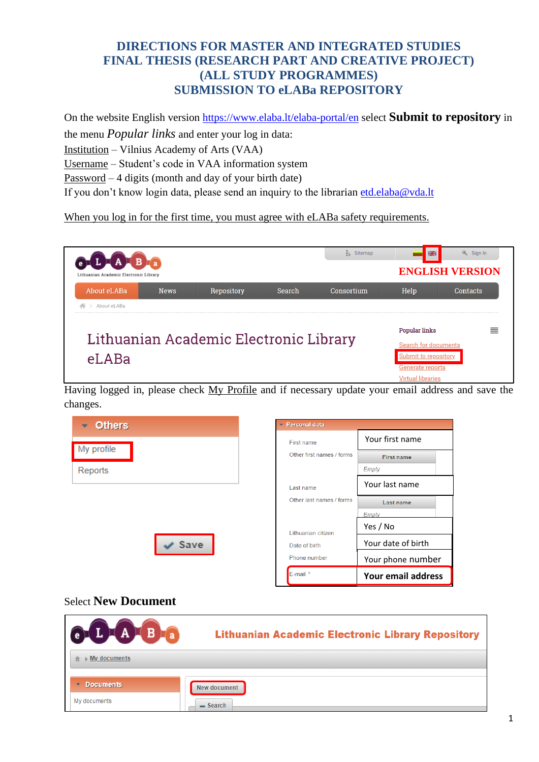### **DIRECTIONS FOR MASTER AND INTEGRATED STUDIES FINAL THESIS (RESEARCH PART AND CREATIVE PROJECT) (ALL STUDY PROGRAMMES) SUBMISSION TO eLABa REPOSITORY**

On the website English version <https://www.elaba.lt/elaba-portal/en> select **Submit to repository** in the menu *Popular links* and enter your log in data: Institution – Vilnius Academy of Arts (VAA) Username – Student's code in VAA information system

Password – 4 digits (month and day of your birth date)

If you don't know login data, please send an inquiry to the librarian [etd.elaba@vda.lt](mailto:etd.elaba@vda.lt)

When you log in for the first time, you must agree with eLABa safety requirements.



Having logged in, please check My Profile and if necessary update your email address and save the changes.



#### Select **New Document**

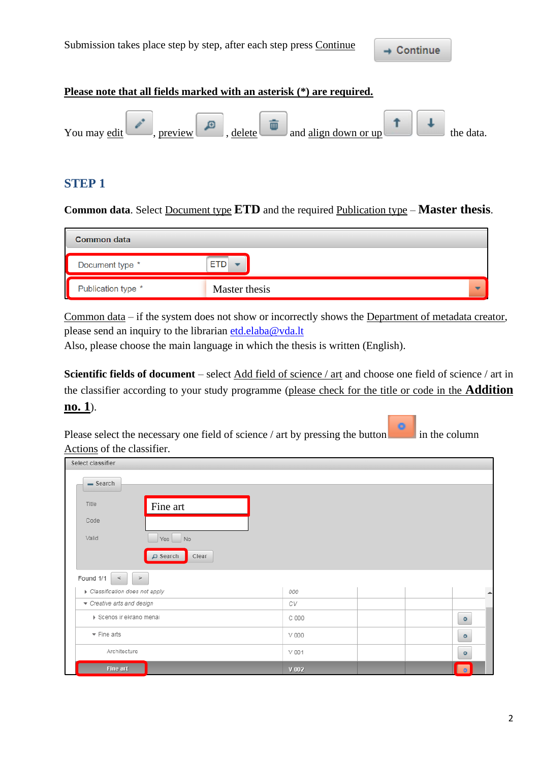#### **Please note that all fields marked with an asterisk (\*) are required.**



#### **STEP 1**

**Common data**. Select Document type **ETD** and the required Publication type – **Master thesis**.

| <b>Common data</b>      |                                           |
|-------------------------|-------------------------------------------|
| Document type *         | <b>ETD</b>                                |
| Publication type *<br>ц | Master thesis<br>$\overline{\phantom{a}}$ |

Common data – if the system does not show or incorrectly shows the Department of metadata creator, please send an inquiry to the librarian [etd.elaba@vda.lt](mailto:etd.elaba@vda.lt)

Also, please choose the main language in which the thesis is written (English).

**Scientific fields of document** – select Add field of science / art and choose one field of science / art in the classifier according to your study programme (please check for the title or code in the **Addition no. 1**).

Please select the necessary one field of science / art by pressing the button in the column Actions of the classifier.

| Select classifier               |                           |       |                  |
|---------------------------------|---------------------------|-------|------------------|
| $-$ Search                      |                           |       |                  |
| Title                           | Fine art                  |       |                  |
| Code                            |                           |       |                  |
| Valid                           | Yes<br>No                 |       |                  |
|                                 | $\n  D Search\n$<br>Clear |       |                  |
| Found 1/1<br>$\,<$              | $\, > \,$                 |       |                  |
| Classification does not apply   |                           | 000   | $\blacktriangle$ |
| Creative arts and design        |                           | СV    |                  |
| ▶ Scenos ir ekrano menai        |                           | C 000 | $\circ$          |
| $\blacktriangleright$ Fine arts |                           | V000  | $\circ$          |
| Architecture                    |                           | V 001 | $\circ$          |
| Fine art                        |                           | V 002 | $\bullet$        |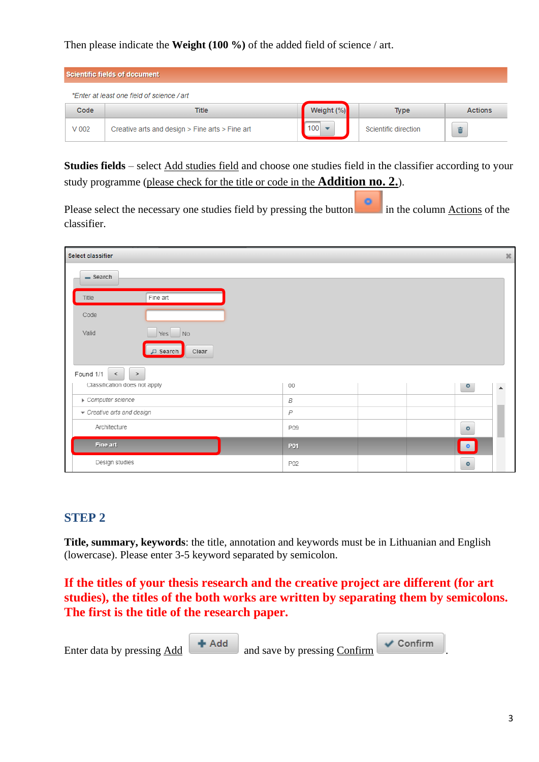Then please indicate the **Weight (100 %)** of the added field of science / art.

| Scientific fields of document |                                                 |            |                      |                |  |  |  |
|-------------------------------|-------------------------------------------------|------------|----------------------|----------------|--|--|--|
|                               | *Enter at least one field of science / art      |            |                      |                |  |  |  |
| Code                          | Title                                           | Weight (%) | <b>Type</b>          | <b>Actions</b> |  |  |  |
| $V$ 002                       | Creative arts and design > Fine arts > Fine art | 100        | Scientific direction | û              |  |  |  |

**Studies fields** – select Add studies field and choose one studies field in the classifier according to your study programme (please check for the title or code in the **Addition no. 2.**).

Please select the necessary one studies field by pressing the button in the column Actions of the classifier.

| Select classifier                 |                        |                  |  |           | $36$             |
|-----------------------------------|------------------------|------------------|--|-----------|------------------|
| $-$ Search                        |                        |                  |  |           |                  |
| Title                             | Fine art               |                  |  |           |                  |
| Code                              |                        |                  |  |           |                  |
| Valid                             | No<br>Yes              |                  |  |           |                  |
|                                   | Clear<br>$\Box$ Search |                  |  |           |                  |
| Found 1/1<br>$\, > \,$<br>$\,<\,$ |                        |                  |  |           |                  |
| Classification does not apply     |                        | 00               |  | $\circ$   | $\blacktriangle$ |
| Computer science                  |                        | $\boldsymbol{B}$ |  |           |                  |
| Creative arts and design          |                        | $\overline{P}$   |  |           |                  |
| Architecture                      |                        | P09              |  | $\circ$   |                  |
| Fine art                          |                        | P01              |  | $\bullet$ |                  |
| Design studies                    |                        | P02              |  | $\circ$   |                  |

### **STEP 2**

**Title, summary, keywords**: the title, annotation and keywords must be in Lithuanian and English (lowercase). Please enter 3-5 keyword separated by semicolon.

**If the titles of your thesis research and the creative project are different (for art studies), the titles of the both works are written by separating them by semicolons. The first is the title of the research paper.**

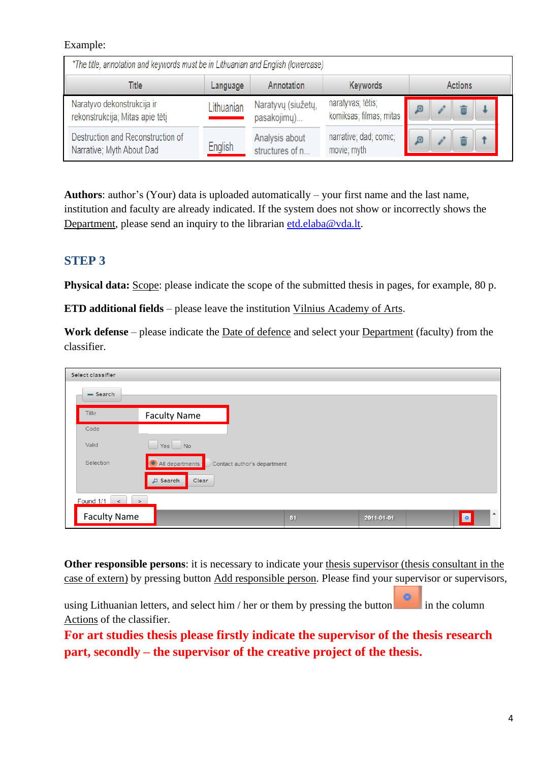#### Example:

| *The title, annotation and keywords must be in Lithuanian and English (lowercase) |            |                                   |                                              |  |  |  |
|-----------------------------------------------------------------------------------|------------|-----------------------------------|----------------------------------------------|--|--|--|
| <b>Keywords</b><br>Annotation<br>Actions<br>Title<br>Language                     |            |                                   |                                              |  |  |  |
| Naratyvo dekonstrukcija ir<br>rekonstrukcija; Mitas apie tėtį                     | Lithuanian | Naratyvų (siužetų,<br>pasakojimų) | naratyvas; tėtis;<br>komiksas; filmas; mitas |  |  |  |
| Destruction and Reconstruction of<br>Narrative; Myth About Dad                    | English    | Analysis about<br>structures of n | narrative; dad; comic;<br>movie; myth        |  |  |  |

**Authors**: author's (Your) data is uploaded automatically – your first name and the last name, institution and faculty are already indicated. If the system does not show or incorrectly shows the Department, please send an inquiry to the librarian [etd.elaba@vda.lt.](mailto:etd.elaba@vda.lt)

### **STEP 3**

**Physical data:** Scope: please indicate the scope of the submitted thesis in pages, for example, 80 p.

**ETD additional fields** – please leave the institution Vilnius Academy of Arts.

**Work defense** – please indicate the Date of defence and select your Department (faculty) from the classifier.

| Select classifier   |                              |                             |    |            |                               |
|---------------------|------------------------------|-----------------------------|----|------------|-------------------------------|
| $-$ Search          |                              |                             |    |            |                               |
| Title               | <b>Faculty Name</b>          |                             |    |            |                               |
| Code                |                              |                             |    |            |                               |
| Valid               | $Yes \tN$                    |                             |    |            |                               |
| Selection           | All departments              | Contact author's department |    |            |                               |
|                     | $\mathsf{D}$ Search<br>Clear |                             |    |            |                               |
| Found 1/1<br>$\lt$  | $\,>$                        |                             |    |            |                               |
| <b>Faculty Name</b> |                              |                             | 31 | 2011-01-01 | $\blacktriangle$<br>$\bullet$ |

**Other responsible persons**: it is necessary to indicate your thesis supervisor (thesis consultant in the case of extern) by pressing button Add responsible person. Please find your supervisor or supervisors,

using Lithuanian letters, and select him / her or them by pressing the button in the column Actions of the classifier.

**For art studies thesis please firstly indicate the supervisor of the thesis research part, secondly – the supervisor of the creative project of the thesis.**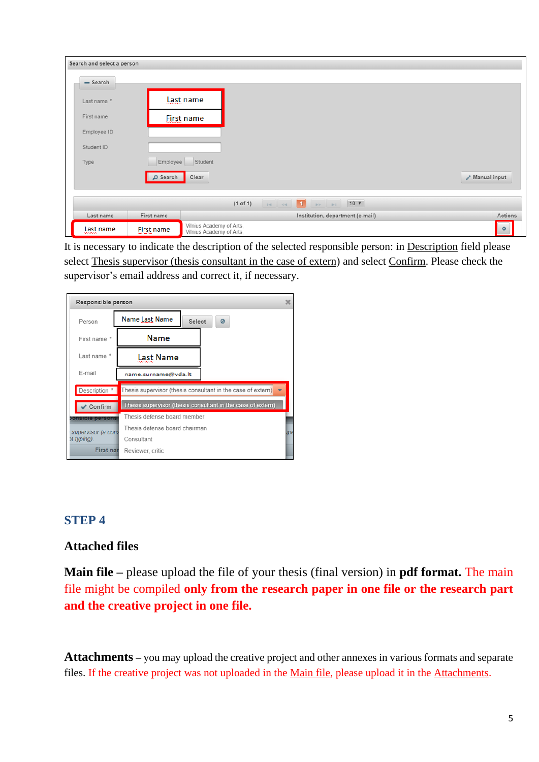| Search and select a person |                   |                                                                                                                                                                                                                                                                                                                                                     |                                  |                                     |
|----------------------------|-------------------|-----------------------------------------------------------------------------------------------------------------------------------------------------------------------------------------------------------------------------------------------------------------------------------------------------------------------------------------------------|----------------------------------|-------------------------------------|
| $-$ Search                 |                   |                                                                                                                                                                                                                                                                                                                                                     |                                  |                                     |
| Last name *                |                   | Last name                                                                                                                                                                                                                                                                                                                                           |                                  |                                     |
| First name                 |                   | <b>First name</b>                                                                                                                                                                                                                                                                                                                                   |                                  |                                     |
| Employee ID                |                   |                                                                                                                                                                                                                                                                                                                                                     |                                  |                                     |
| Student ID                 |                   |                                                                                                                                                                                                                                                                                                                                                     |                                  |                                     |
| Type                       |                   | Employee Student                                                                                                                                                                                                                                                                                                                                    |                                  |                                     |
|                            | D Search          | Clear                                                                                                                                                                                                                                                                                                                                               |                                  | $\lambda$ <sup>*</sup> Manual input |
|                            |                   | $\mathbb{R}$ $\leq$ $\mathbb{R}$ $\rightarrow$ $\mathbb{R}$ $\mathbb{R}$ $\mathbb{R}$ $\mathbb{R}$ $\mathbb{R}$ $\mathbb{R}$ $\mathbb{R}$ $\mathbb{R}$ $\mathbb{R}$ $\mathbb{R}$ $\mathbb{R}$ $\mathbb{R}$ $\mathbb{R}$ $\mathbb{R}$ $\mathbb{R}$ $\mathbb{R}$ $\mathbb{R}$ $\mathbb{R}$ $\mathbb{R}$ $\mathbb{R}$ $\mathbb{R}$ $\math$<br>(1 of 1) |                                  |                                     |
| Last name                  | First name        |                                                                                                                                                                                                                                                                                                                                                     | Institution, department (e-mail) | Actions                             |
| Last name<br>wwww          | <b>Eirst</b> name | Vilnius Academy of Arts,<br>Vilnius Academy of Arts,                                                                                                                                                                                                                                                                                                |                                  | $\circ$                             |

It is necessary to indicate the description of the selected responsible person: in Description field please select Thesis supervisor (thesis consultant in the case of extern) and select Confirm. Please check the supervisor's email address and correct it, if necessary.

| Responsible person      |                                                             | $\boldsymbol{\times}$ |
|-------------------------|-------------------------------------------------------------|-----------------------|
| Person                  | Name Last Name<br>Select<br>Ø                               |                       |
| First name *            | Name                                                        |                       |
| Last name *             | Last Name                                                   |                       |
| E-mail                  | name.surname@vda.lt                                         |                       |
| Description *           | Thesis supervisor (thesis consultant in the case of extern) |                       |
| Confirm                 | Thesis supervisor (thesis consultant in the case of extern) |                       |
| <b>bonsible persons</b> | Thesis defense board member                                 |                       |
| supervisor (a cons      | Thesis defense board chairman                               | <b>IDE</b>            |
| ot typing).             | Consultant                                                  |                       |
| <b>First nar</b>        | Reviewer, critic                                            |                       |

## **STEP 4**

## **Attached files**

**Main file –** please upload the file of your thesis (final version) in **pdf format.** The main file might be compiled **only from the research paper in one file or the research part and the creative project in one file.**

**Attachments –** you may upload the creative project and other annexes in various formats and separate files. If the creative project was not uploaded in the Main file, please upload it in the Attachments.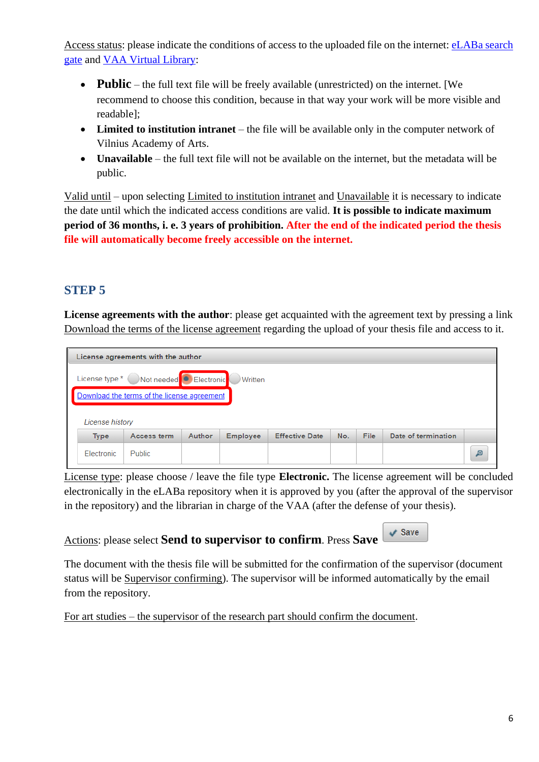Access status: please indicate the conditions of access to the uploaded file on the internet: eLABa search [gate](https://www.lvb.lt/primo-explore/search?search_scope=eLABa&vid=ELABA&lang=en_US) and [VAA Virtual Library:](https://vb.vda.lt/primo-explore/search?vid=VDA&lang=en_US)

- **Public** the full text file will be freely available (unrestricted) on the internet. [We recommend to choose this condition, because in that way your work will be more visible and readable];
- **Limited to institution intranet** the file will be available only in the computer network of Vilnius Academy of Arts.
- **Unavailable** the full text file will not be available on the internet, but the metadata will be public.

Valid until – upon selecting Limited to institution intranet and Unavailable it is necessary to indicate the date until which the indicated access conditions are valid. **It is possible to indicate maximum period of 36 months, i. e. 3 years of prohibition. After the end of the indicated period the thesis file will automatically become freely accessible on the internet.**

## **STEP 5**

**License agreements with the author**: please get acquainted with the agreement text by pressing a link Download the terms of the license agreement regarding the upload of your thesis file and access to it.

| License agreements with the author                                                                      |               |        |                 |                       |     |      |                     |  |
|---------------------------------------------------------------------------------------------------------|---------------|--------|-----------------|-----------------------|-----|------|---------------------|--|
| License type * Not needed C Electronic<br><b>Written</b><br>Download the terms of the license agreement |               |        |                 |                       |     |      |                     |  |
| License history                                                                                         |               |        |                 |                       |     |      |                     |  |
| <b>Type</b>                                                                                             | Access term   | Author | <b>Employee</b> | <b>Effective Date</b> | No. | File | Date of termination |  |
| Electronic                                                                                              | <b>Public</b> |        |                 |                       |     |      |                     |  |

License type: please choose / leave the file type **Electronic.** The license agreement will be concluded electronically in the eLABa repository when it is approved by you (after the approval of the supervisor in the repository) and the librarian in charge of the VAA (after the defense of your thesis).

Actions: please select **Send to supervisor to confirm**. Press **Save**

The document with the thesis file will be submitted for the confirmation of the supervisor (document status will be Supervisor confirming). The supervisor will be informed automatically by the email from the repository.

For art studies – the supervisor of the research part should confirm the document.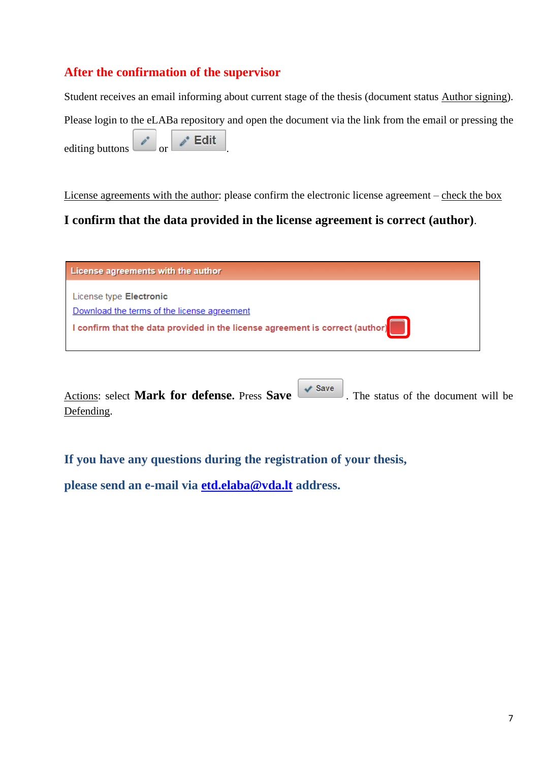## **After the confirmation of the supervisor**

Student receives an email informing about current stage of the thesis (document status Author signing). Please login to the eLABa repository and open the document via the link from the email or pressing the editing buttons  $\begin{array}{|c|c|c|c|}\n\hline\n\end{array}$  or  $\begin{array}{|c|c|c|}\n\hline\n\end{array}$  Edit

License agreements with the author: please confirm the electronic license agreement – check the box

### **I confirm that the data provided in the license agreement is correct (author)**.



Actions: select **Mark for defense.** Press **Save CO**. The status of the document will be Defending.

**If you have any questions during the registration of your thesis,** 

**please send an e-mail via [etd.elaba@vda.lt](mailto:etd.elaba@vda.lt) address.**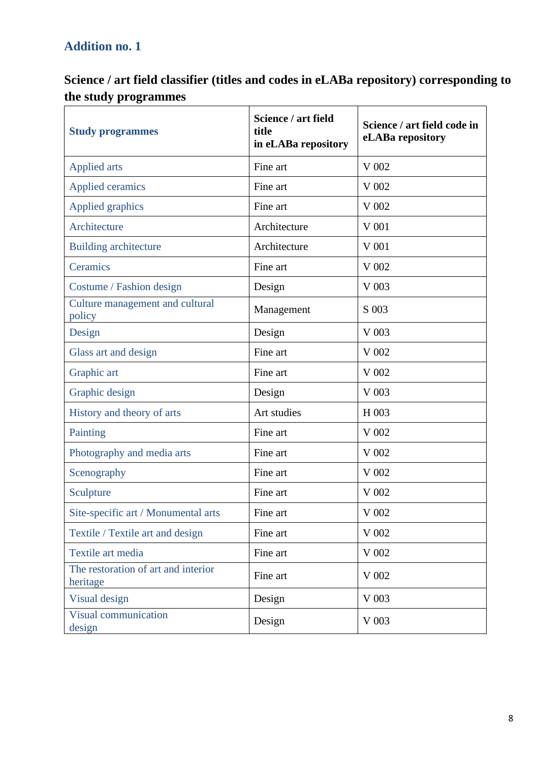# **Addition no. 1**

# **Science / art field classifier (titles and codes in eLABa repository) corresponding to the study programmes**

| <b>Study programmes</b>                         | Science / art field<br>title<br>in eLABa repository | Science / art field code in<br>eLABa repository |
|-------------------------------------------------|-----------------------------------------------------|-------------------------------------------------|
| <b>Applied arts</b>                             | Fine art                                            | V 002                                           |
| <b>Applied ceramics</b>                         | Fine art                                            | V 002                                           |
| Applied graphics                                | Fine art                                            | V 002                                           |
| Architecture                                    | Architecture                                        | V 001                                           |
| <b>Building architecture</b>                    | Architecture                                        | $V$ 001                                         |
| Ceramics                                        | Fine art                                            | V 002                                           |
| Costume / Fashion design                        | Design                                              | V 003                                           |
| Culture management and cultural<br>policy       | Management                                          | S 003                                           |
| Design                                          | Design                                              | V 003                                           |
| Glass art and design                            | Fine art                                            | V 002                                           |
| Graphic art                                     | Fine art                                            | V 002                                           |
| Graphic design                                  | Design                                              | V 003                                           |
| History and theory of arts                      | Art studies                                         | H 003                                           |
| Painting                                        | Fine art                                            | V 002                                           |
| Photography and media arts                      | Fine art                                            | V 002                                           |
| Scenography                                     | Fine art                                            | V 002                                           |
| Sculpture                                       | Fine art                                            | V 002                                           |
| Site-specific art / Monumental arts             | Fine art                                            | V 002                                           |
| Textile / Textile art and design                | Fine art                                            | V 002                                           |
| Textile art media                               | Fine art                                            | V 002                                           |
| The restoration of art and interior<br>heritage | Fine art                                            | V 002                                           |
| Visual design                                   | Design                                              | V 003                                           |
| Visual communication<br>design                  | Design                                              | V 003                                           |